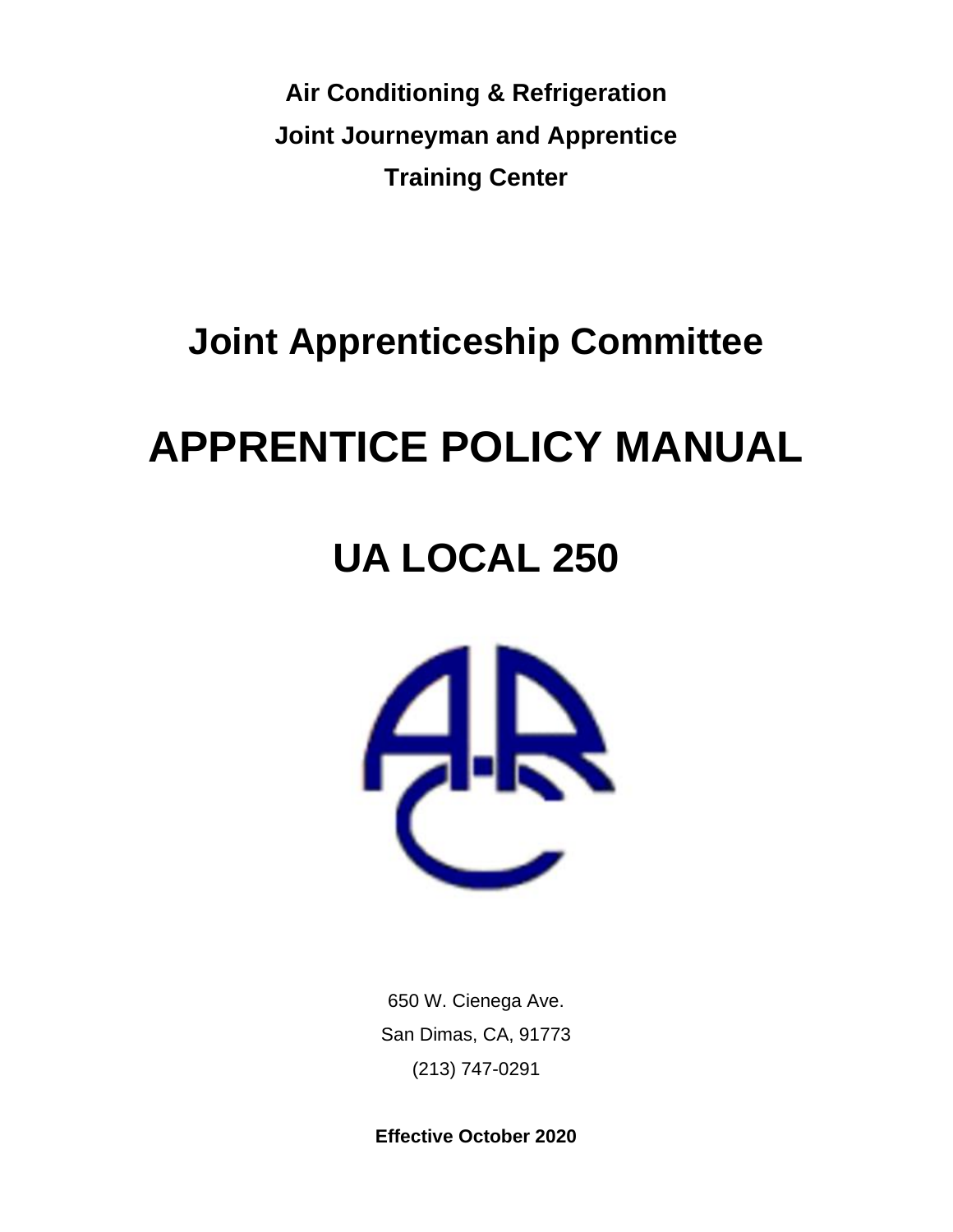**Air Conditioning & Refrigeration Joint Journeyman and Apprentice Training Center**

# **Joint Apprenticeship Committee**

# **APPRENTICE POLICY MANUAL**

# **UA LOCAL 250**



650 W. Cienega Ave. San Dimas, CA, 91773 (213) 747-0291

**Effective October 2020**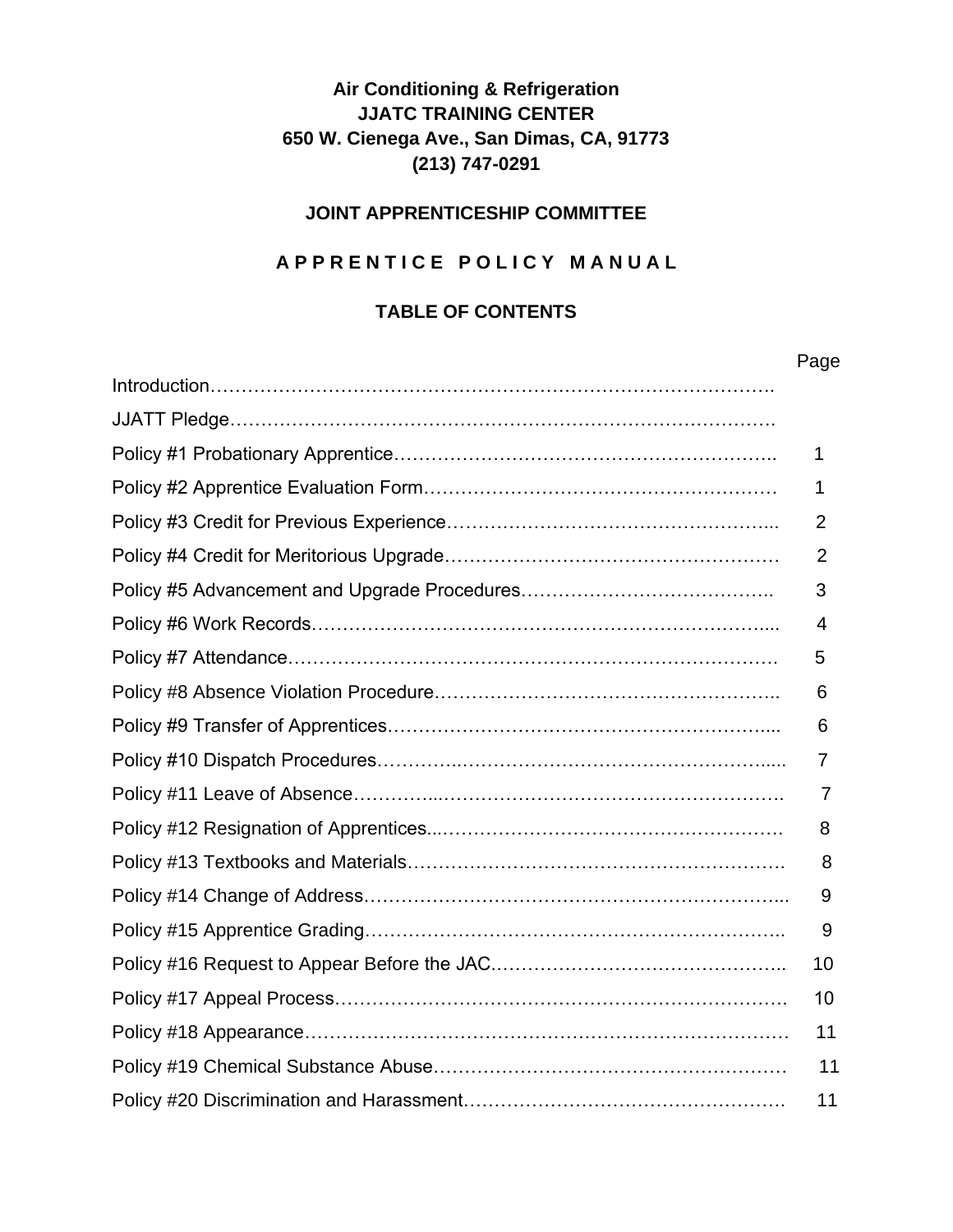# **Air Conditioning & Refrigeration JJATC TRAINING CENTER 650 W. Cienega Ave., San Dimas, CA, 91773 (213) 747-0291**

#### **JOINT APPRENTICESHIP COMMITTEE**

#### **A P P R E N T I C E P O L I C Y M A N U A L**

#### **TABLE OF CONTENTS**

| Page |
|------|
|      |
|      |
| 1    |
| 1    |
| 2    |
| 2    |
| 3    |
| 4    |
| 5    |
| 6    |
| 6    |
| 7    |
| 7    |
| 8    |
| 8    |
| 9    |
| 9    |
| 10   |
| 10   |
| 11   |
| 11   |
| 11   |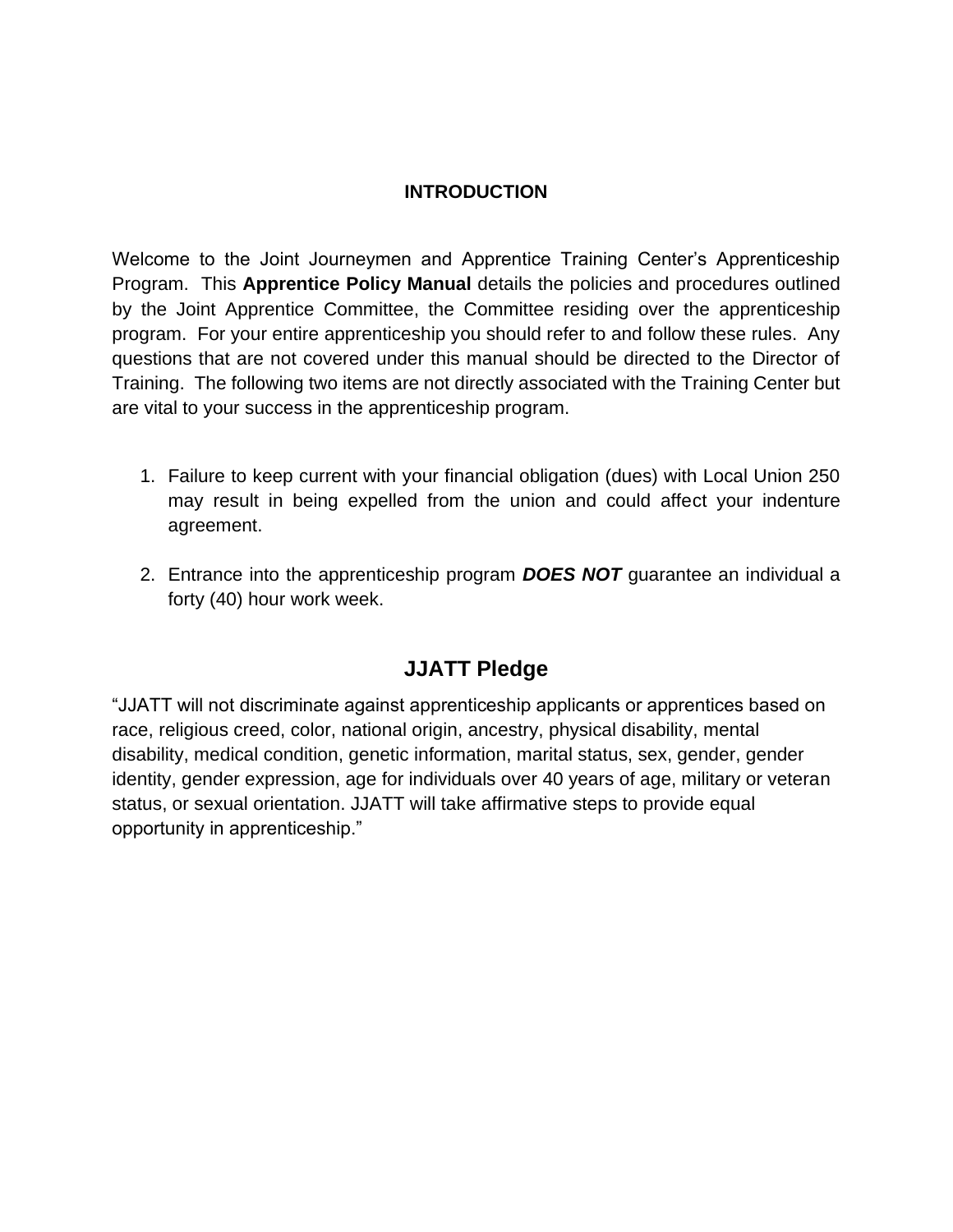#### **INTRODUCTION**

Welcome to the Joint Journeymen and Apprentice Training Center's Apprenticeship Program. This **Apprentice Policy Manual** details the policies and procedures outlined by the Joint Apprentice Committee, the Committee residing over the apprenticeship program. For your entire apprenticeship you should refer to and follow these rules. Any questions that are not covered under this manual should be directed to the Director of Training. The following two items are not directly associated with the Training Center but are vital to your success in the apprenticeship program.

- 1. Failure to keep current with your financial obligation (dues) with Local Union 250 may result in being expelled from the union and could affect your indenture agreement.
- 2. Entrance into the apprenticeship program *DOES NOT* guarantee an individual a forty (40) hour work week.

# **JJATT Pledge**

"JJATT will not discriminate against apprenticeship applicants or apprentices based on race, religious creed, color, national origin, ancestry, physical disability, mental disability, medical condition, genetic information, marital status, sex, gender, gender identity, gender expression, age for individuals over 40 years of age, military or veteran status, or sexual orientation. JJATT will take affirmative steps to provide equal opportunity in apprenticeship."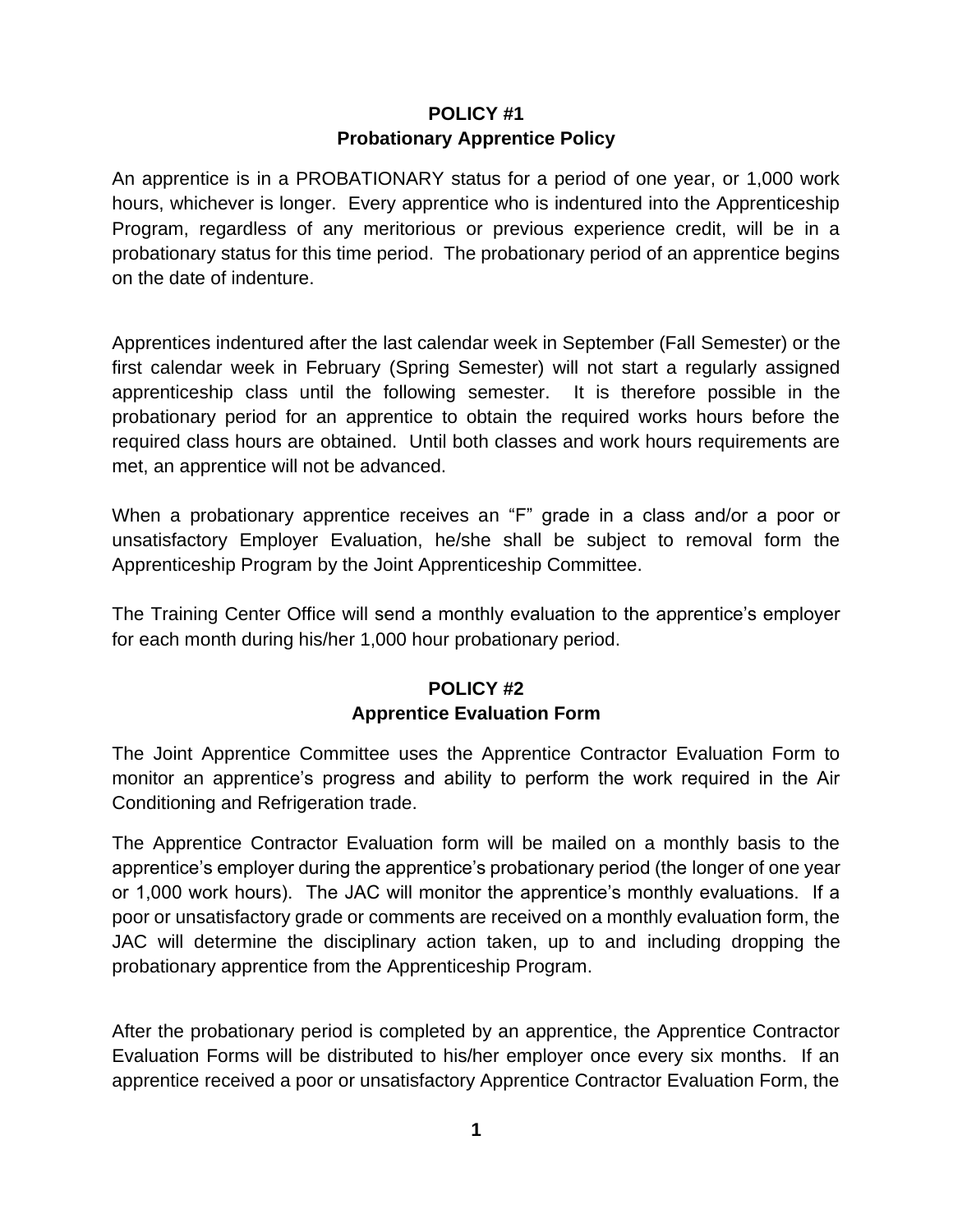# **POLICY #1 Probationary Apprentice Policy**

An apprentice is in a PROBATIONARY status for a period of one year, or 1,000 work hours, whichever is longer. Every apprentice who is indentured into the Apprenticeship Program, regardless of any meritorious or previous experience credit, will be in a probationary status for this time period. The probationary period of an apprentice begins on the date of indenture.

Apprentices indentured after the last calendar week in September (Fall Semester) or the first calendar week in February (Spring Semester) will not start a regularly assigned apprenticeship class until the following semester. It is therefore possible in the probationary period for an apprentice to obtain the required works hours before the required class hours are obtained. Until both classes and work hours requirements are met, an apprentice will not be advanced.

When a probationary apprentice receives an "F" grade in a class and/or a poor or unsatisfactory Employer Evaluation, he/she shall be subject to removal form the Apprenticeship Program by the Joint Apprenticeship Committee.

The Training Center Office will send a monthly evaluation to the apprentice's employer for each month during his/her 1,000 hour probationary period.

# **POLICY #2 Apprentice Evaluation Form**

The Joint Apprentice Committee uses the Apprentice Contractor Evaluation Form to monitor an apprentice's progress and ability to perform the work required in the Air Conditioning and Refrigeration trade.

The Apprentice Contractor Evaluation form will be mailed on a monthly basis to the apprentice's employer during the apprentice's probationary period (the longer of one year or 1,000 work hours). The JAC will monitor the apprentice's monthly evaluations. If a poor or unsatisfactory grade or comments are received on a monthly evaluation form, the JAC will determine the disciplinary action taken, up to and including dropping the probationary apprentice from the Apprenticeship Program.

After the probationary period is completed by an apprentice, the Apprentice Contractor Evaluation Forms will be distributed to his/her employer once every six months. If an apprentice received a poor or unsatisfactory Apprentice Contractor Evaluation Form, the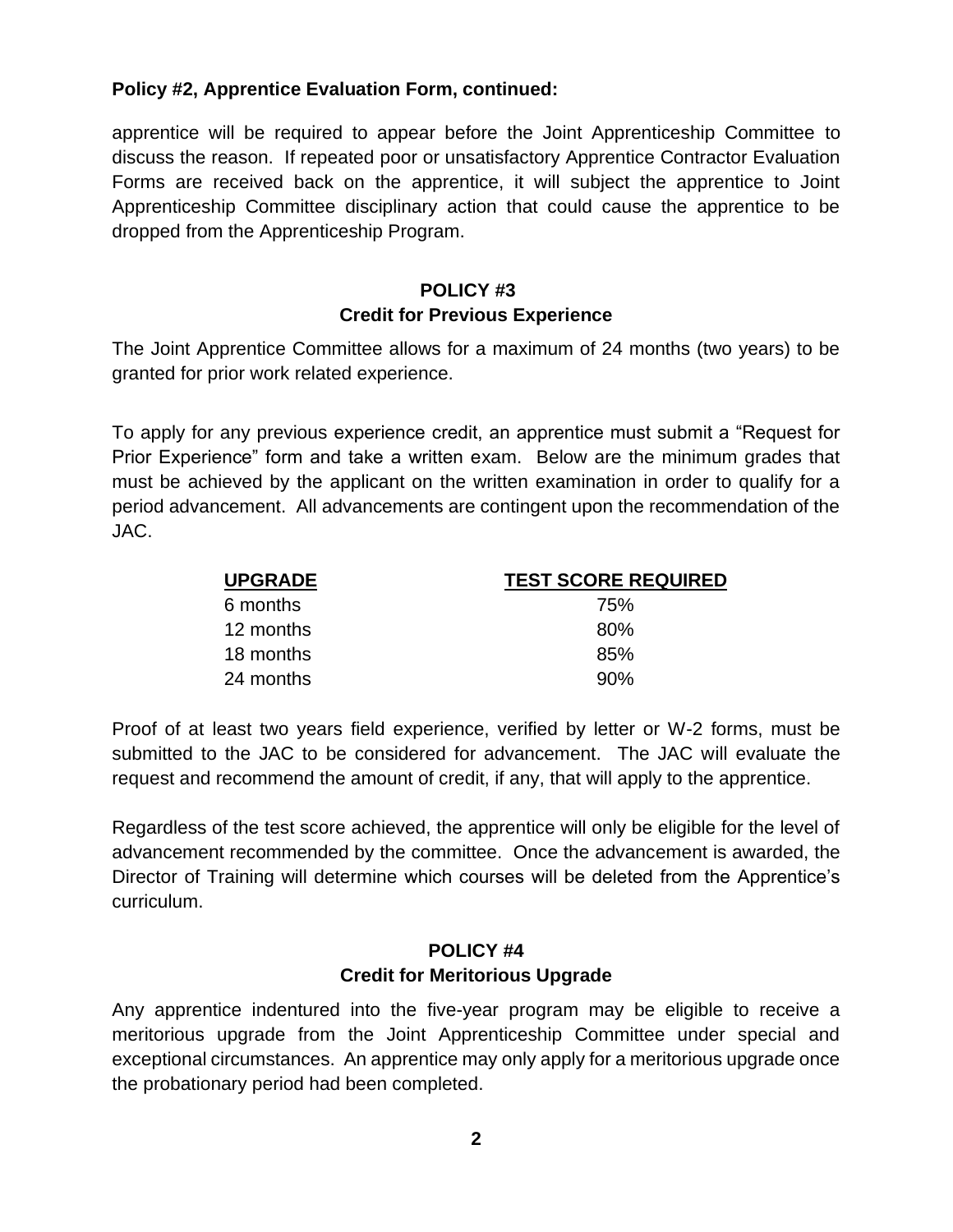#### **Policy #2, Apprentice Evaluation Form, continued:**

apprentice will be required to appear before the Joint Apprenticeship Committee to discuss the reason. If repeated poor or unsatisfactory Apprentice Contractor Evaluation Forms are received back on the apprentice, it will subject the apprentice to Joint Apprenticeship Committee disciplinary action that could cause the apprentice to be dropped from the Apprenticeship Program.

#### **POLICY #3 Credit for Previous Experience**

The Joint Apprentice Committee allows for a maximum of 24 months (two years) to be granted for prior work related experience.

To apply for any previous experience credit, an apprentice must submit a "Request for Prior Experience" form and take a written exam. Below are the minimum grades that must be achieved by the applicant on the written examination in order to qualify for a period advancement. All advancements are contingent upon the recommendation of the JAC.

| <b>UPGRADE</b> | <b>TEST SCORE REQUIRED</b> |
|----------------|----------------------------|
| 6 months       | 75%                        |
| 12 months      | 80%                        |
| 18 months      | 85%                        |
| 24 months      | 90%                        |

Proof of at least two years field experience, verified by letter or W-2 forms, must be submitted to the JAC to be considered for advancement. The JAC will evaluate the request and recommend the amount of credit, if any, that will apply to the apprentice.

Regardless of the test score achieved, the apprentice will only be eligible for the level of advancement recommended by the committee. Once the advancement is awarded, the Director of Training will determine which courses will be deleted from the Apprentice's curriculum.

#### **POLICY #4 Credit for Meritorious Upgrade**

Any apprentice indentured into the five-year program may be eligible to receive a meritorious upgrade from the Joint Apprenticeship Committee under special and exceptional circumstances. An apprentice may only apply for a meritorious upgrade once the probationary period had been completed.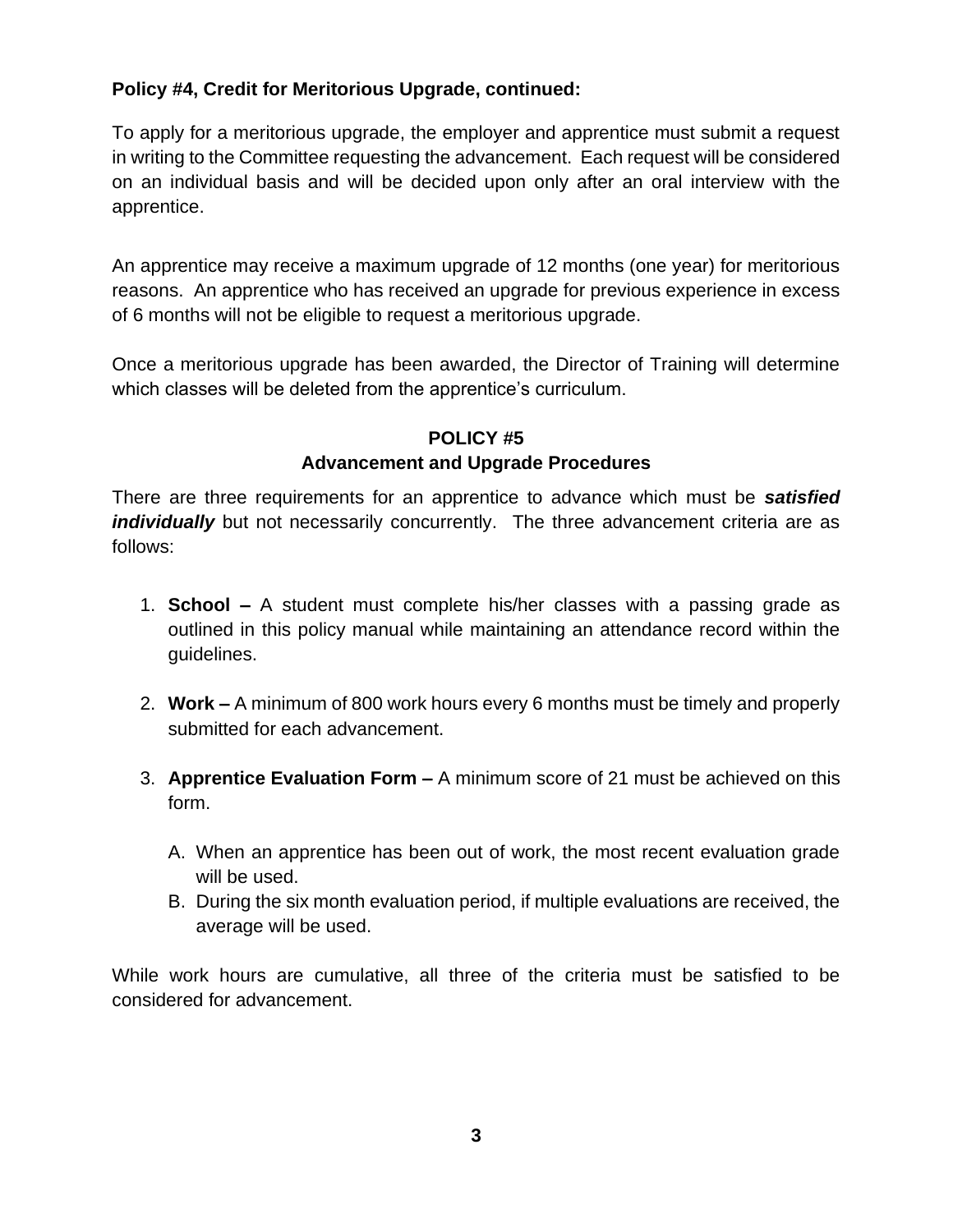### **Policy #4, Credit for Meritorious Upgrade, continued:**

To apply for a meritorious upgrade, the employer and apprentice must submit a request in writing to the Committee requesting the advancement. Each request will be considered on an individual basis and will be decided upon only after an oral interview with the apprentice.

An apprentice may receive a maximum upgrade of 12 months (one year) for meritorious reasons. An apprentice who has received an upgrade for previous experience in excess of 6 months will not be eligible to request a meritorious upgrade.

Once a meritorious upgrade has been awarded, the Director of Training will determine which classes will be deleted from the apprentice's curriculum.

# **POLICY #5 Advancement and Upgrade Procedures**

There are three requirements for an apprentice to advance which must be *satisfied individually* but not necessarily concurrently. The three advancement criteria are as follows:

- 1. **School –** A student must complete his/her classes with a passing grade as outlined in this policy manual while maintaining an attendance record within the guidelines.
- 2. **Work –** A minimum of 800 work hours every 6 months must be timely and properly submitted for each advancement.
- 3. **Apprentice Evaluation Form –** A minimum score of 21 must be achieved on this form.
	- A. When an apprentice has been out of work, the most recent evaluation grade will be used.
	- B. During the six month evaluation period, if multiple evaluations are received, the average will be used.

While work hours are cumulative, all three of the criteria must be satisfied to be considered for advancement.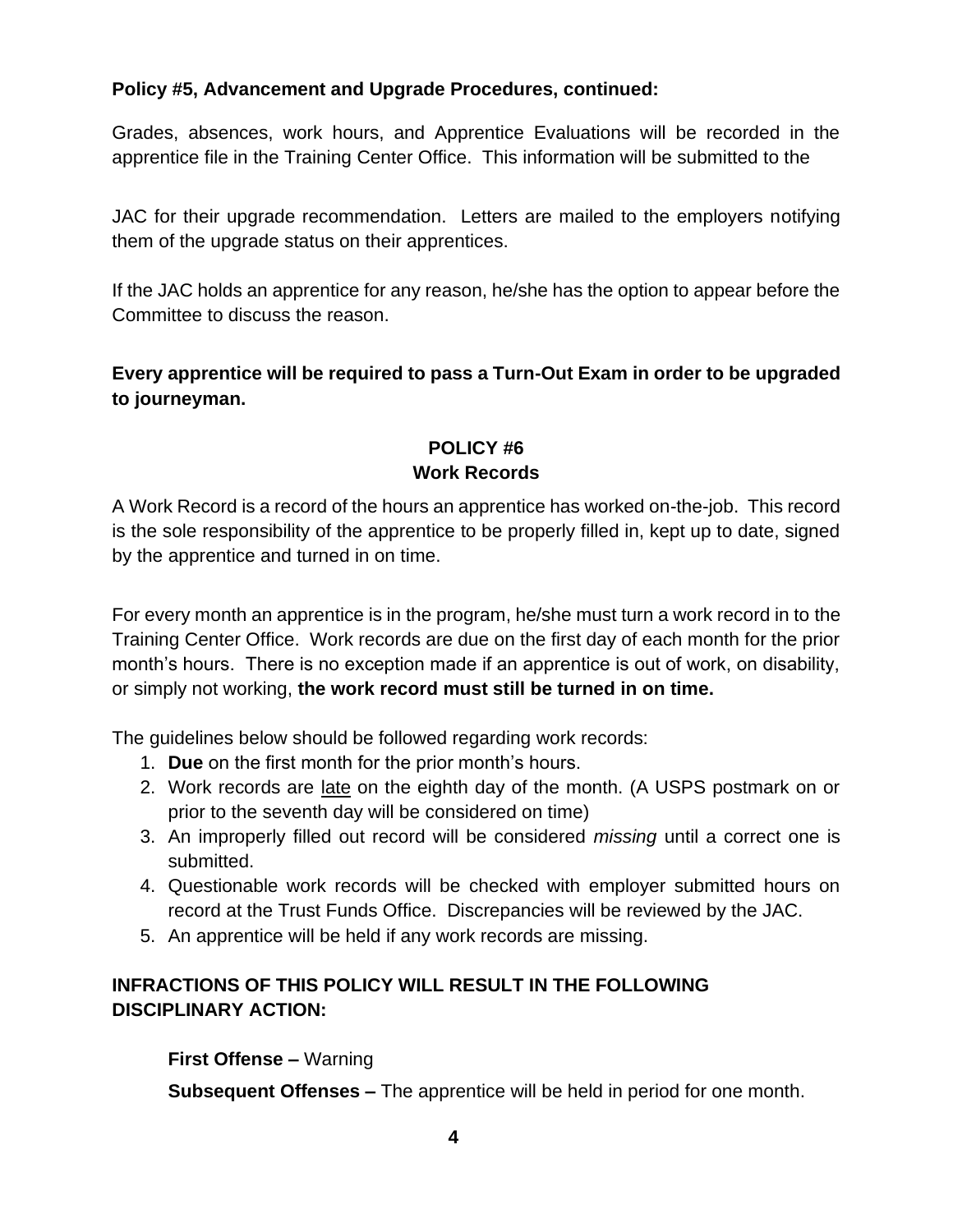# **Policy #5, Advancement and Upgrade Procedures, continued:**

Grades, absences, work hours, and Apprentice Evaluations will be recorded in the apprentice file in the Training Center Office. This information will be submitted to the

JAC for their upgrade recommendation. Letters are mailed to the employers notifying them of the upgrade status on their apprentices.

If the JAC holds an apprentice for any reason, he/she has the option to appear before the Committee to discuss the reason.

**Every apprentice will be required to pass a Turn-Out Exam in order to be upgraded to journeyman.**

#### **POLICY #6 Work Records**

A Work Record is a record of the hours an apprentice has worked on-the-job. This record is the sole responsibility of the apprentice to be properly filled in, kept up to date, signed by the apprentice and turned in on time.

For every month an apprentice is in the program, he/she must turn a work record in to the Training Center Office. Work records are due on the first day of each month for the prior month's hours. There is no exception made if an apprentice is out of work, on disability, or simply not working, **the work record must still be turned in on time.**

The guidelines below should be followed regarding work records:

- 1. **Due** on the first month for the prior month's hours.
- 2. Work records are late on the eighth day of the month. (A USPS postmark on or prior to the seventh day will be considered on time)
- 3. An improperly filled out record will be considered *missing* until a correct one is submitted.
- 4. Questionable work records will be checked with employer submitted hours on record at the Trust Funds Office. Discrepancies will be reviewed by the JAC.
- 5. An apprentice will be held if any work records are missing.

# **INFRACTIONS OF THIS POLICY WILL RESULT IN THE FOLLOWING DISCIPLINARY ACTION:**

**First Offense –** Warning

**Subsequent Offenses –** The apprentice will be held in period for one month.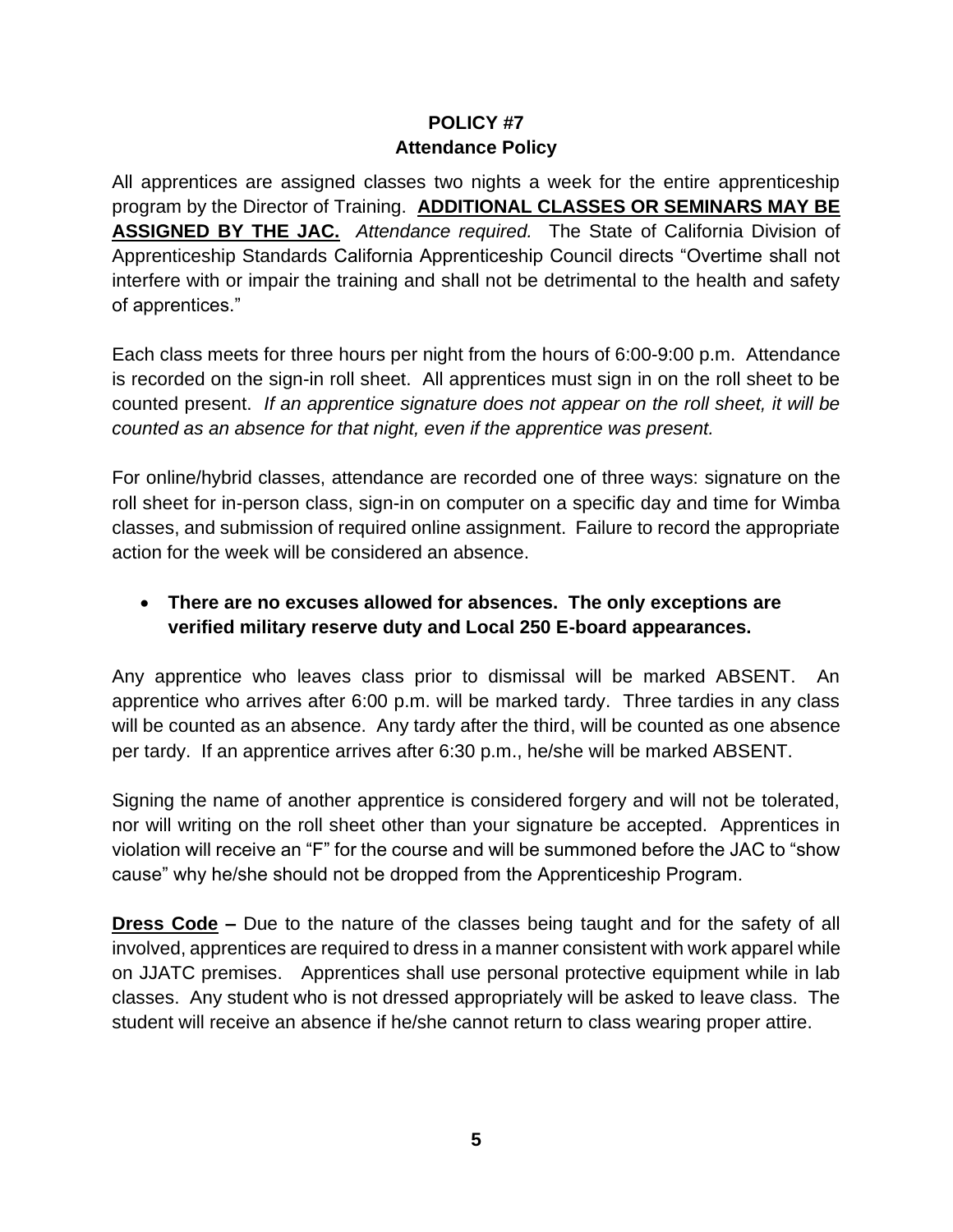#### **POLICY #7 Attendance Policy**

All apprentices are assigned classes two nights a week for the entire apprenticeship program by the Director of Training. **ADDITIONAL CLASSES OR SEMINARS MAY BE ASSIGNED BY THE JAC.** *Attendance required.* The State of California Division of Apprenticeship Standards California Apprenticeship Council directs "Overtime shall not interfere with or impair the training and shall not be detrimental to the health and safety of apprentices."

Each class meets for three hours per night from the hours of 6:00-9:00 p.m. Attendance is recorded on the sign-in roll sheet. All apprentices must sign in on the roll sheet to be counted present. *If an apprentice signature does not appear on the roll sheet, it will be counted as an absence for that night, even if the apprentice was present.*

For online/hybrid classes, attendance are recorded one of three ways: signature on the roll sheet for in-person class, sign-in on computer on a specific day and time for Wimba classes, and submission of required online assignment. Failure to record the appropriate action for the week will be considered an absence.

# • **There are no excuses allowed for absences. The only exceptions are verified military reserve duty and Local 250 E-board appearances.**

Any apprentice who leaves class prior to dismissal will be marked ABSENT. An apprentice who arrives after 6:00 p.m. will be marked tardy. Three tardies in any class will be counted as an absence. Any tardy after the third, will be counted as one absence per tardy. If an apprentice arrives after 6:30 p.m., he/she will be marked ABSENT.

Signing the name of another apprentice is considered forgery and will not be tolerated, nor will writing on the roll sheet other than your signature be accepted. Apprentices in violation will receive an "F" for the course and will be summoned before the JAC to "show cause" why he/she should not be dropped from the Apprenticeship Program.

**Dress Code –** Due to the nature of the classes being taught and for the safety of all involved, apprentices are required to dress in a manner consistent with work apparel while on JJATC premises. Apprentices shall use personal protective equipment while in lab classes. Any student who is not dressed appropriately will be asked to leave class. The student will receive an absence if he/she cannot return to class wearing proper attire.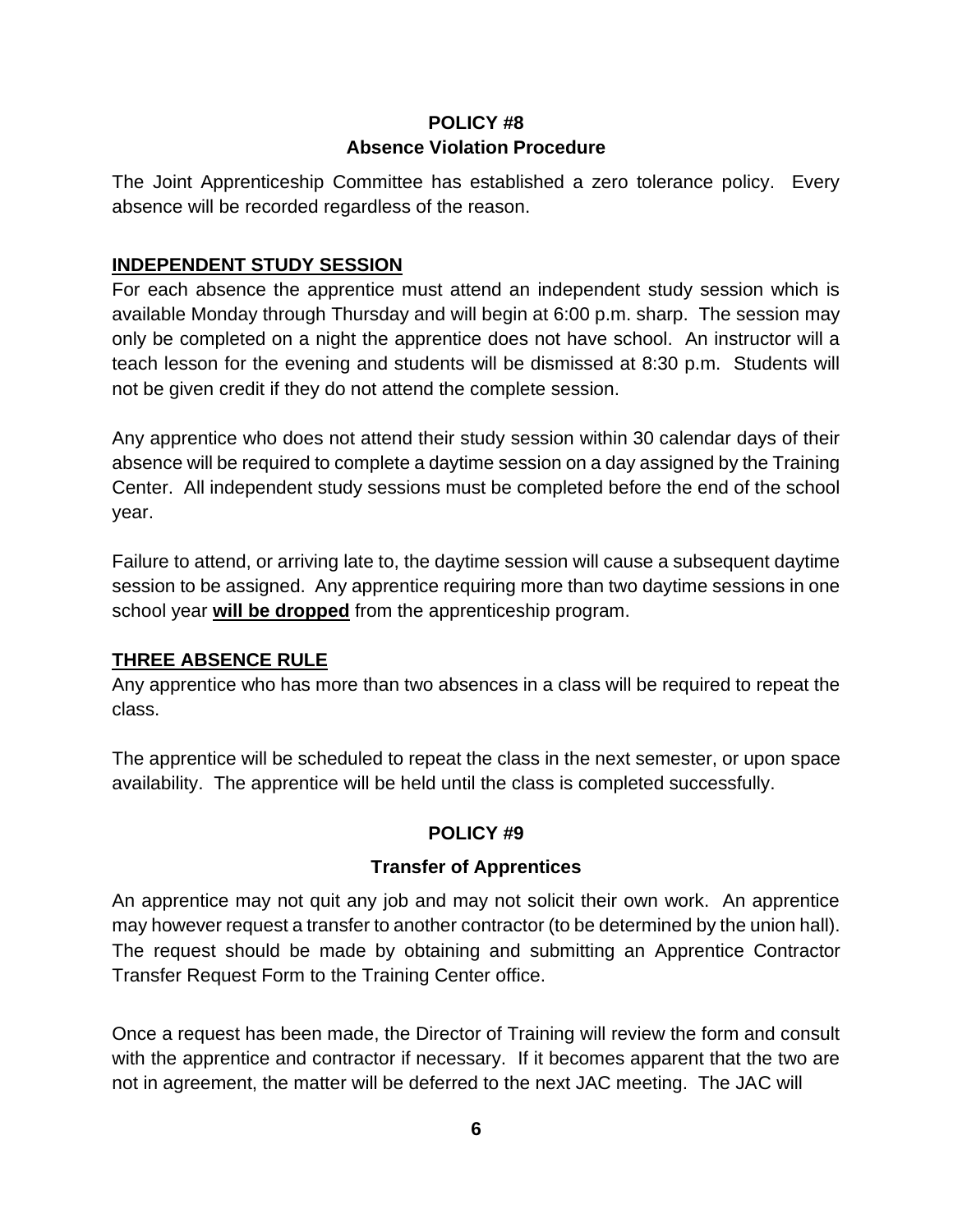# **POLICY #8 Absence Violation Procedure**

The Joint Apprenticeship Committee has established a zero tolerance policy. Every absence will be recorded regardless of the reason.

#### **INDEPENDENT STUDY SESSION**

For each absence the apprentice must attend an independent study session which is available Monday through Thursday and will begin at 6:00 p.m. sharp. The session may only be completed on a night the apprentice does not have school. An instructor will a teach lesson for the evening and students will be dismissed at 8:30 p.m. Students will not be given credit if they do not attend the complete session.

Any apprentice who does not attend their study session within 30 calendar days of their absence will be required to complete a daytime session on a day assigned by the Training Center. All independent study sessions must be completed before the end of the school year.

Failure to attend, or arriving late to, the daytime session will cause a subsequent daytime session to be assigned. Any apprentice requiring more than two daytime sessions in one school year **will be dropped** from the apprenticeship program.

# **THREE ABSENCE RULE**

Any apprentice who has more than two absences in a class will be required to repeat the class.

The apprentice will be scheduled to repeat the class in the next semester, or upon space availability. The apprentice will be held until the class is completed successfully.

# **POLICY #9**

#### **Transfer of Apprentices**

An apprentice may not quit any job and may not solicit their own work. An apprentice may however request a transfer to another contractor (to be determined by the union hall). The request should be made by obtaining and submitting an Apprentice Contractor Transfer Request Form to the Training Center office.

Once a request has been made, the Director of Training will review the form and consult with the apprentice and contractor if necessary. If it becomes apparent that the two are not in agreement, the matter will be deferred to the next JAC meeting. The JAC will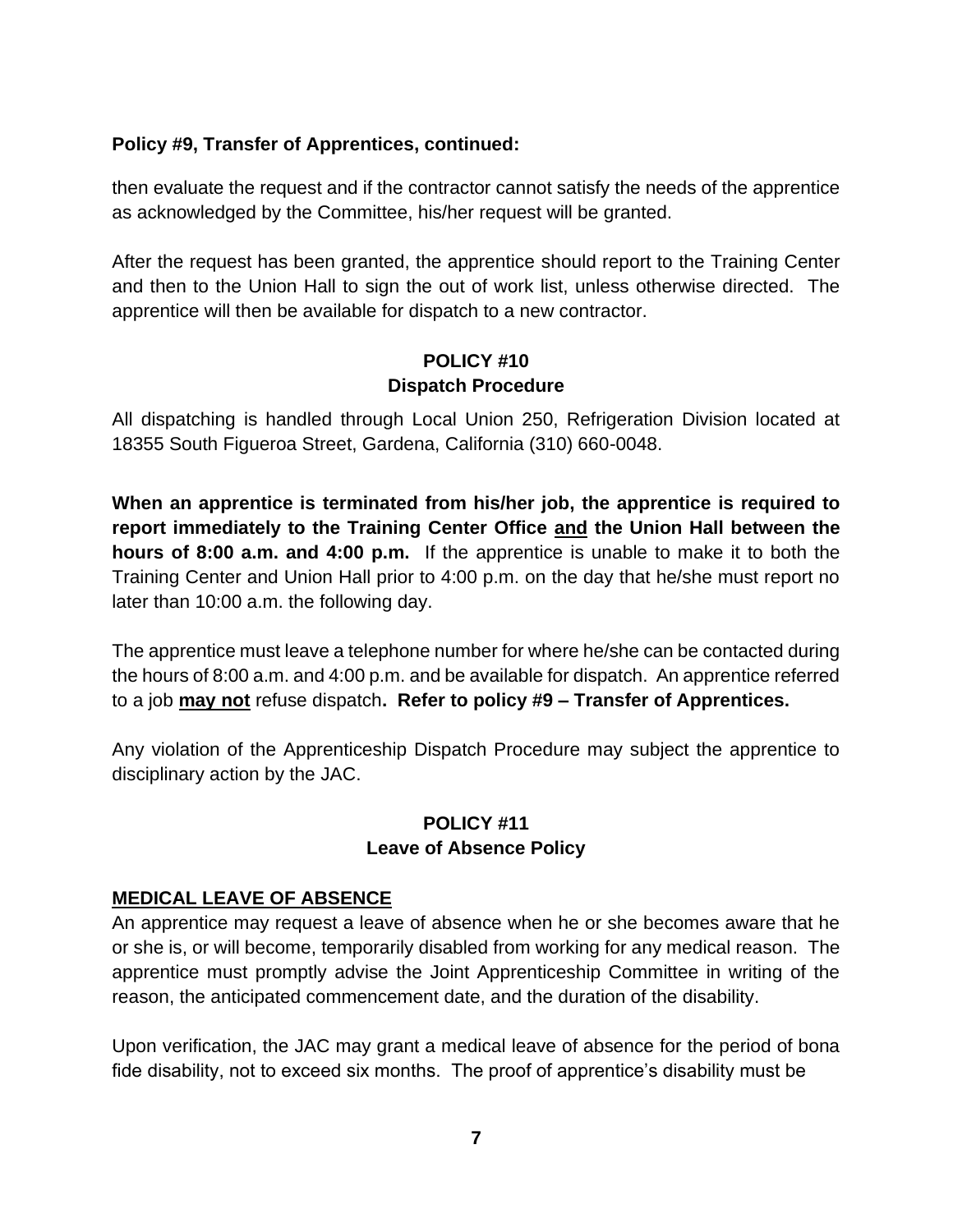#### **Policy #9, Transfer of Apprentices, continued:**

then evaluate the request and if the contractor cannot satisfy the needs of the apprentice as acknowledged by the Committee, his/her request will be granted.

After the request has been granted, the apprentice should report to the Training Center and then to the Union Hall to sign the out of work list, unless otherwise directed. The apprentice will then be available for dispatch to a new contractor.

#### **POLICY #10 Dispatch Procedure**

All dispatching is handled through Local Union 250, Refrigeration Division located at 18355 South Figueroa Street, Gardena, California (310) 660-0048.

**When an apprentice is terminated from his/her job, the apprentice is required to report immediately to the Training Center Office and the Union Hall between the hours of 8:00 a.m. and 4:00 p.m.** If the apprentice is unable to make it to both the Training Center and Union Hall prior to 4:00 p.m. on the day that he/she must report no later than 10:00 a.m. the following day.

The apprentice must leave a telephone number for where he/she can be contacted during the hours of 8:00 a.m. and 4:00 p.m. and be available for dispatch. An apprentice referred to a job **may not** refuse dispatch**. Refer to policy #9 – Transfer of Apprentices.**

Any violation of the Apprenticeship Dispatch Procedure may subject the apprentice to disciplinary action by the JAC.

#### **POLICY #11 Leave of Absence Policy**

#### **MEDICAL LEAVE OF ABSENCE**

An apprentice may request a leave of absence when he or she becomes aware that he or she is, or will become, temporarily disabled from working for any medical reason. The apprentice must promptly advise the Joint Apprenticeship Committee in writing of the reason, the anticipated commencement date, and the duration of the disability.

Upon verification, the JAC may grant a medical leave of absence for the period of bona fide disability, not to exceed six months. The proof of apprentice's disability must be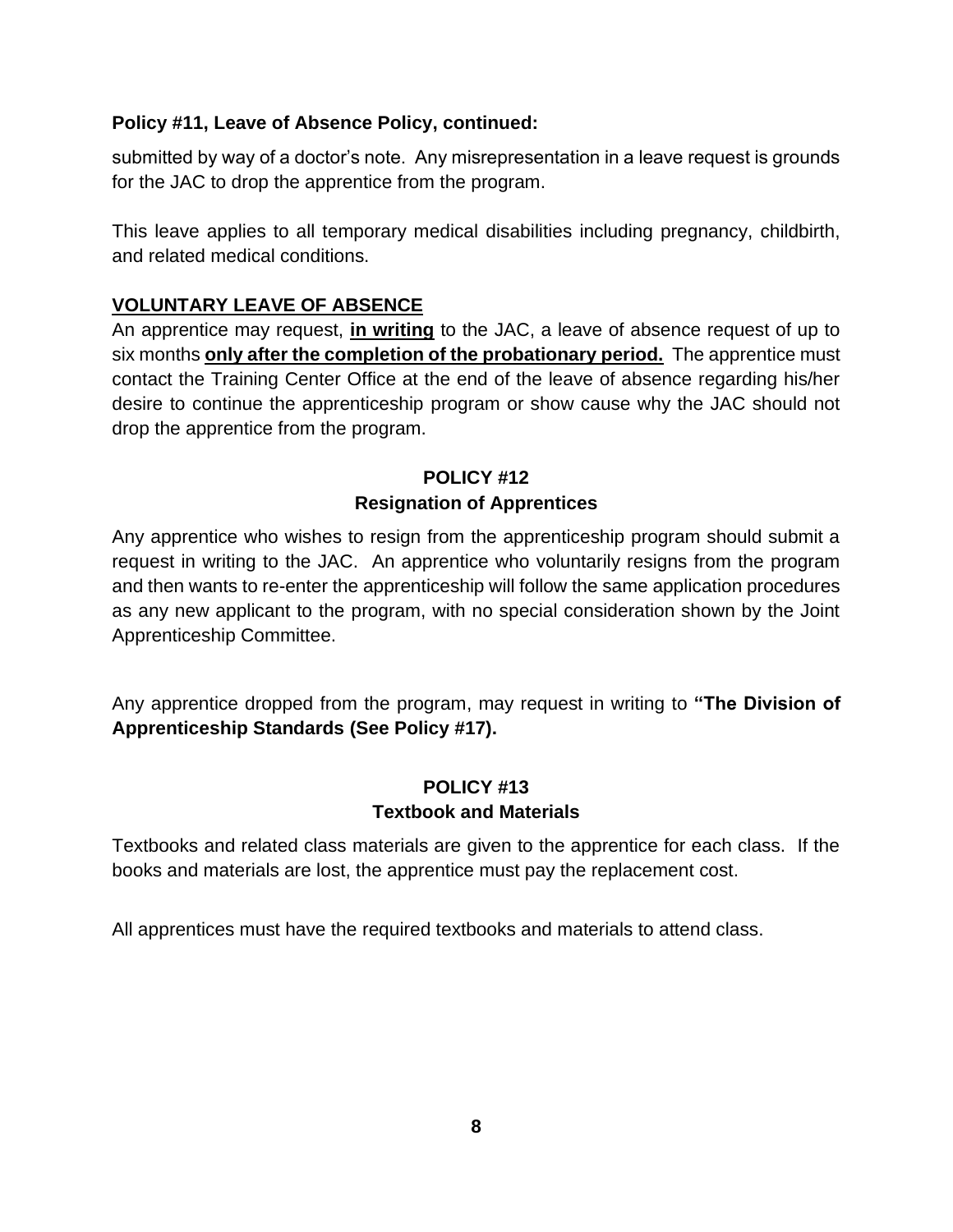#### **Policy #11, Leave of Absence Policy, continued:**

submitted by way of a doctor's note. Any misrepresentation in a leave request is grounds for the JAC to drop the apprentice from the program.

This leave applies to all temporary medical disabilities including pregnancy, childbirth, and related medical conditions.

#### **VOLUNTARY LEAVE OF ABSENCE**

An apprentice may request, **in writing** to the JAC, a leave of absence request of up to six months **only after the completion of the probationary period.** The apprentice must contact the Training Center Office at the end of the leave of absence regarding his/her desire to continue the apprenticeship program or show cause why the JAC should not drop the apprentice from the program.

# **POLICY #12 Resignation of Apprentices**

Any apprentice who wishes to resign from the apprenticeship program should submit a request in writing to the JAC. An apprentice who voluntarily resigns from the program and then wants to re-enter the apprenticeship will follow the same application procedures as any new applicant to the program, with no special consideration shown by the Joint Apprenticeship Committee.

Any apprentice dropped from the program, may request in writing to **"The Division of Apprenticeship Standards (See Policy #17).**

#### **POLICY #13 Textbook and Materials**

Textbooks and related class materials are given to the apprentice for each class. If the books and materials are lost, the apprentice must pay the replacement cost.

All apprentices must have the required textbooks and materials to attend class.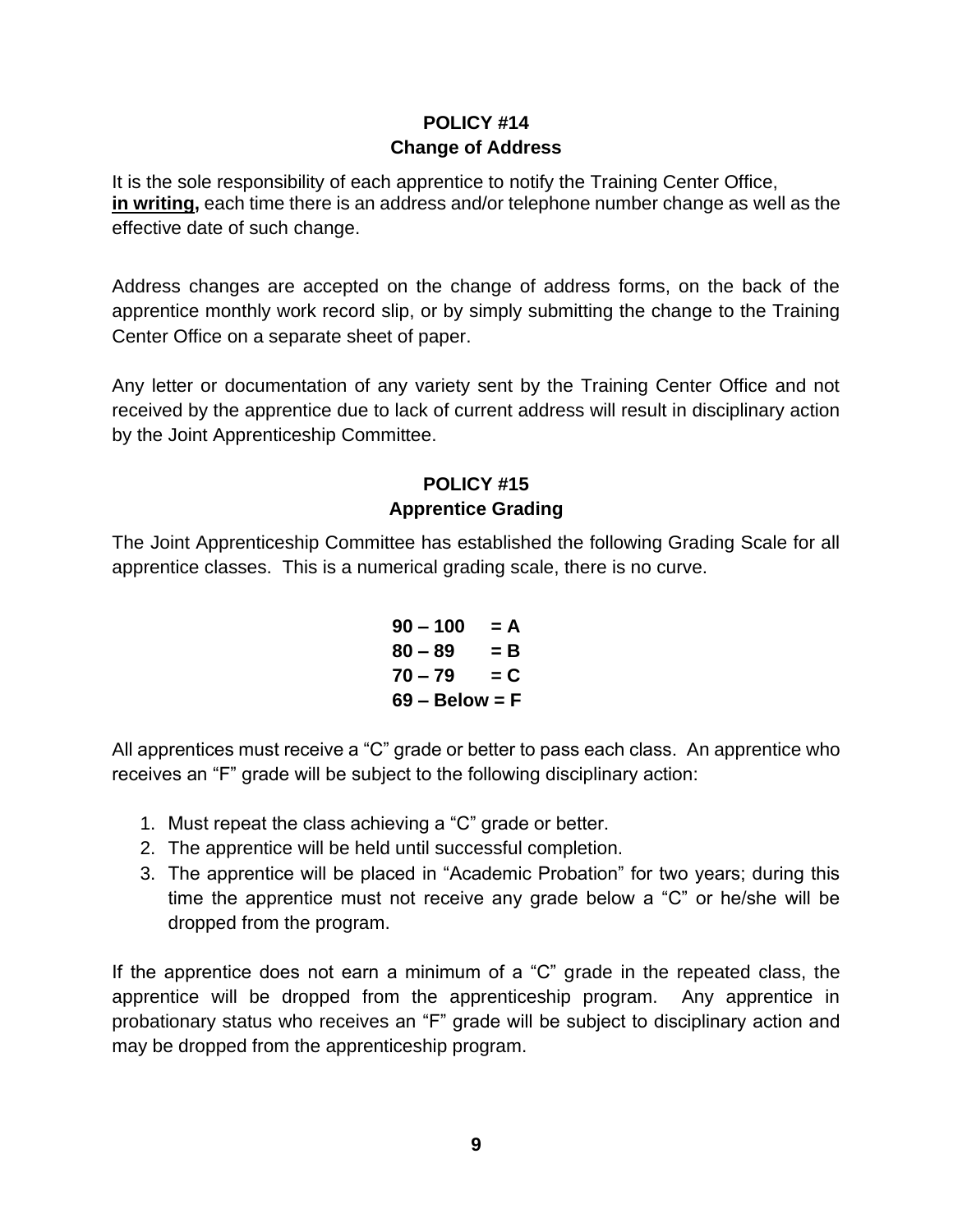# **POLICY #14 Change of Address**

It is the sole responsibility of each apprentice to notify the Training Center Office, **in writing,** each time there is an address and/or telephone number change as well as the effective date of such change.

Address changes are accepted on the change of address forms, on the back of the apprentice monthly work record slip, or by simply submitting the change to the Training Center Office on a separate sheet of paper.

Any letter or documentation of any variety sent by the Training Center Office and not received by the apprentice due to lack of current address will result in disciplinary action by the Joint Apprenticeship Committee.

# **POLICY #15 Apprentice Grading**

The Joint Apprenticeship Committee has established the following Grading Scale for all apprentice classes. This is a numerical grading scale, there is no curve.

> $90 - 100 = A$  $80 - 89 = B$  $70 - 79 = C$ **69 – Below = F**

All apprentices must receive a "C" grade or better to pass each class. An apprentice who receives an "F" grade will be subject to the following disciplinary action:

- 1. Must repeat the class achieving a "C" grade or better.
- 2. The apprentice will be held until successful completion.
- 3. The apprentice will be placed in "Academic Probation" for two years; during this time the apprentice must not receive any grade below a "C" or he/she will be dropped from the program.

If the apprentice does not earn a minimum of a "C" grade in the repeated class, the apprentice will be dropped from the apprenticeship program. Any apprentice in probationary status who receives an "F" grade will be subject to disciplinary action and may be dropped from the apprenticeship program.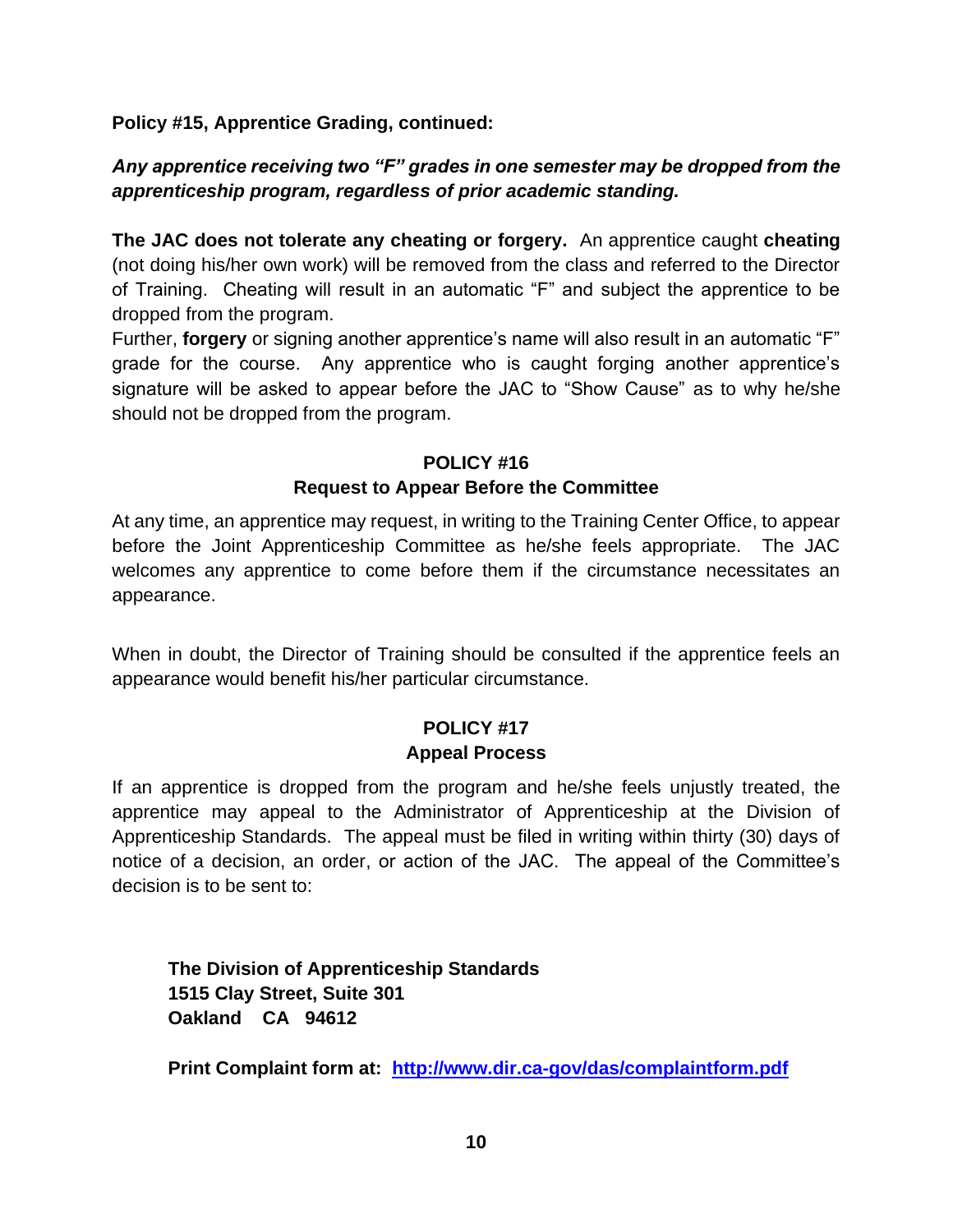**Policy #15, Apprentice Grading, continued:**

# *Any apprentice receiving two "F" grades in one semester may be dropped from the apprenticeship program, regardless of prior academic standing.*

**The JAC does not tolerate any cheating or forgery.** An apprentice caught **cheating** (not doing his/her own work) will be removed from the class and referred to the Director of Training. Cheating will result in an automatic "F" and subject the apprentice to be dropped from the program.

Further, **forgery** or signing another apprentice's name will also result in an automatic "F" grade for the course. Any apprentice who is caught forging another apprentice's signature will be asked to appear before the JAC to "Show Cause" as to why he/she should not be dropped from the program.

# **POLICY #16 Request to Appear Before the Committee**

At any time, an apprentice may request, in writing to the Training Center Office, to appear before the Joint Apprenticeship Committee as he/she feels appropriate. The JAC welcomes any apprentice to come before them if the circumstance necessitates an appearance.

When in doubt, the Director of Training should be consulted if the apprentice feels an appearance would benefit his/her particular circumstance.

# **POLICY #17 Appeal Process**

If an apprentice is dropped from the program and he/she feels unjustly treated, the apprentice may appeal to the Administrator of Apprenticeship at the Division of Apprenticeship Standards. The appeal must be filed in writing within thirty (30) days of notice of a decision, an order, or action of the JAC. The appeal of the Committee's decision is to be sent to:

**The Division of Apprenticeship Standards 1515 Clay Street, Suite 301 Oakland CA 94612**

**Print Complaint form at: <http://www.dir.ca-gov/das/complaintform.pdf>**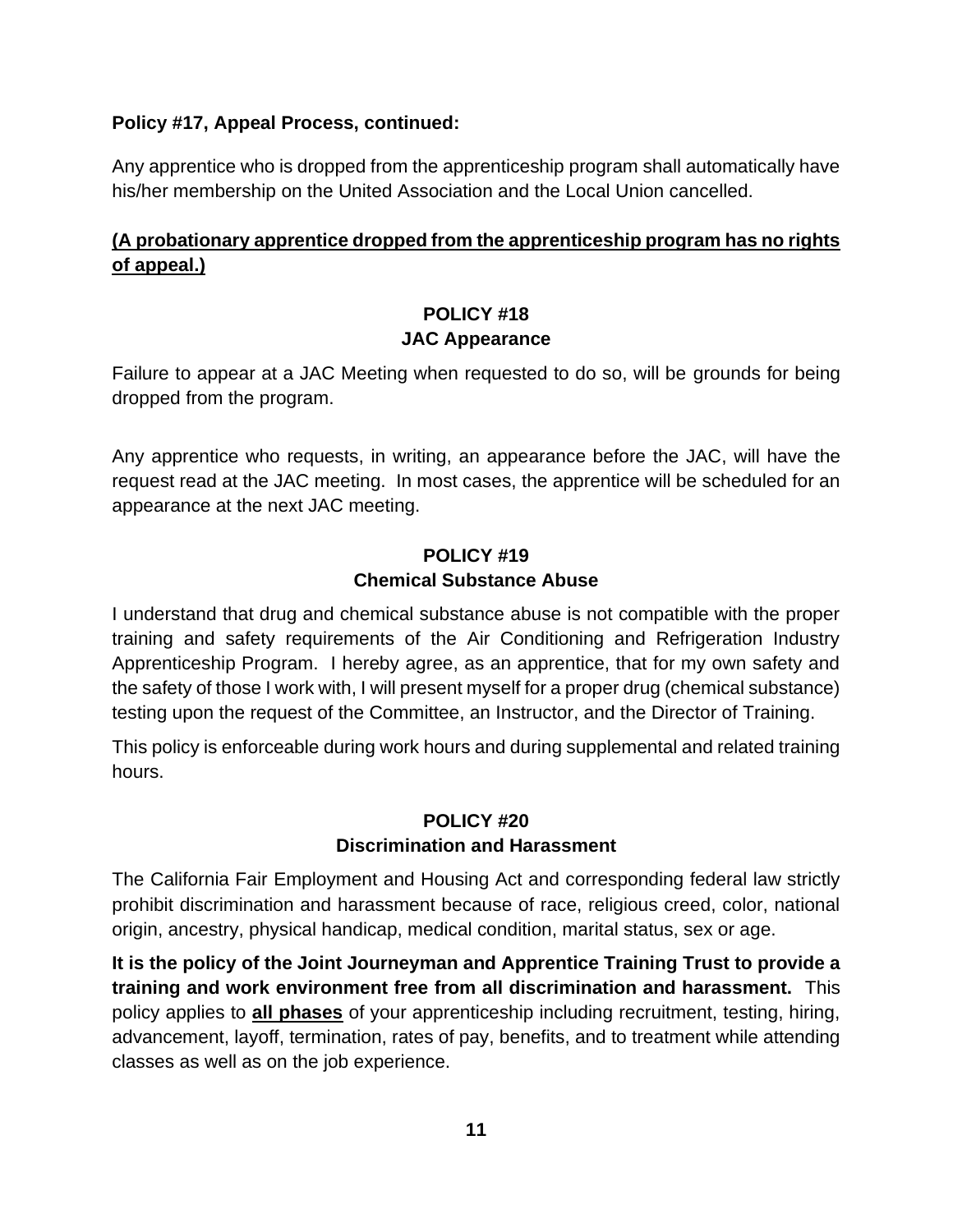#### **Policy #17, Appeal Process, continued:**

Any apprentice who is dropped from the apprenticeship program shall automatically have his/her membership on the United Association and the Local Union cancelled.

### **(A probationary apprentice dropped from the apprenticeship program has no rights of appeal.)**

# **POLICY #18 JAC Appearance**

Failure to appear at a JAC Meeting when requested to do so, will be grounds for being dropped from the program.

Any apprentice who requests, in writing, an appearance before the JAC, will have the request read at the JAC meeting. In most cases, the apprentice will be scheduled for an appearance at the next JAC meeting.

#### **POLICY #19 Chemical Substance Abuse**

I understand that drug and chemical substance abuse is not compatible with the proper training and safety requirements of the Air Conditioning and Refrigeration Industry Apprenticeship Program. I hereby agree, as an apprentice, that for my own safety and the safety of those I work with, I will present myself for a proper drug (chemical substance) testing upon the request of the Committee, an Instructor, and the Director of Training.

This policy is enforceable during work hours and during supplemental and related training hours.

# **POLICY #20 Discrimination and Harassment**

The California Fair Employment and Housing Act and corresponding federal law strictly prohibit discrimination and harassment because of race, religious creed, color, national origin, ancestry, physical handicap, medical condition, marital status, sex or age.

**It is the policy of the Joint Journeyman and Apprentice Training Trust to provide a training and work environment free from all discrimination and harassment.** This policy applies to **all phases** of your apprenticeship including recruitment, testing, hiring, advancement, layoff, termination, rates of pay, benefits, and to treatment while attending classes as well as on the job experience.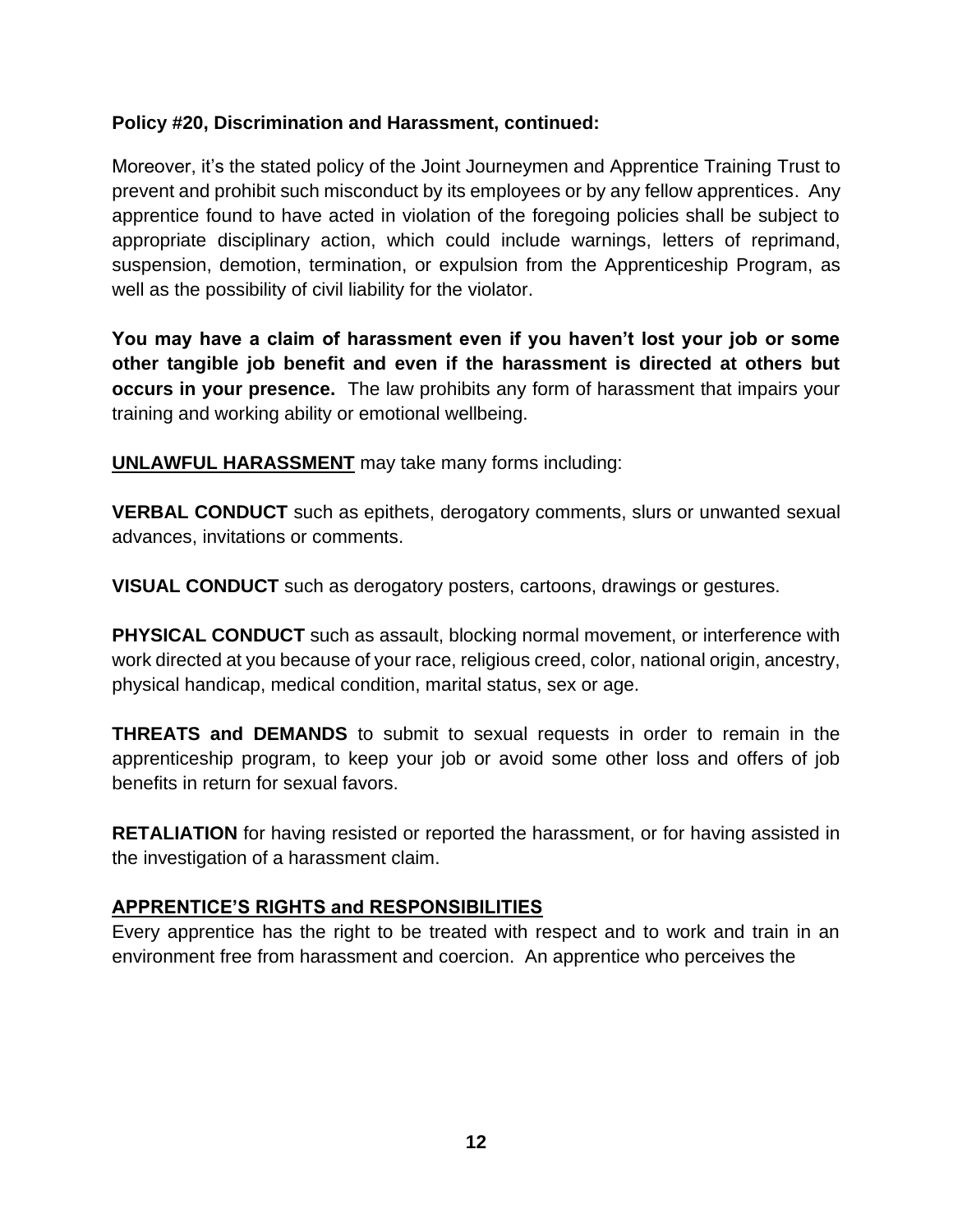#### **Policy #20, Discrimination and Harassment, continued:**

Moreover, it's the stated policy of the Joint Journeymen and Apprentice Training Trust to prevent and prohibit such misconduct by its employees or by any fellow apprentices. Any apprentice found to have acted in violation of the foregoing policies shall be subject to appropriate disciplinary action, which could include warnings, letters of reprimand, suspension, demotion, termination, or expulsion from the Apprenticeship Program, as well as the possibility of civil liability for the violator.

**You may have a claim of harassment even if you haven't lost your job or some other tangible job benefit and even if the harassment is directed at others but occurs in your presence.** The law prohibits any form of harassment that impairs your training and working ability or emotional wellbeing.

**UNLAWFUL HARASSMENT** may take many forms including:

**VERBAL CONDUCT** such as epithets, derogatory comments, slurs or unwanted sexual advances, invitations or comments.

**VISUAL CONDUCT** such as derogatory posters, cartoons, drawings or gestures.

**PHYSICAL CONDUCT** such as assault, blocking normal movement, or interference with work directed at you because of your race, religious creed, color, national origin, ancestry, physical handicap, medical condition, marital status, sex or age.

**THREATS and DEMANDS** to submit to sexual requests in order to remain in the apprenticeship program, to keep your job or avoid some other loss and offers of job benefits in return for sexual favors.

**RETALIATION** for having resisted or reported the harassment, or for having assisted in the investigation of a harassment claim.

#### **APPRENTICE'S RIGHTS and RESPONSIBILITIES**

Every apprentice has the right to be treated with respect and to work and train in an environment free from harassment and coercion. An apprentice who perceives the